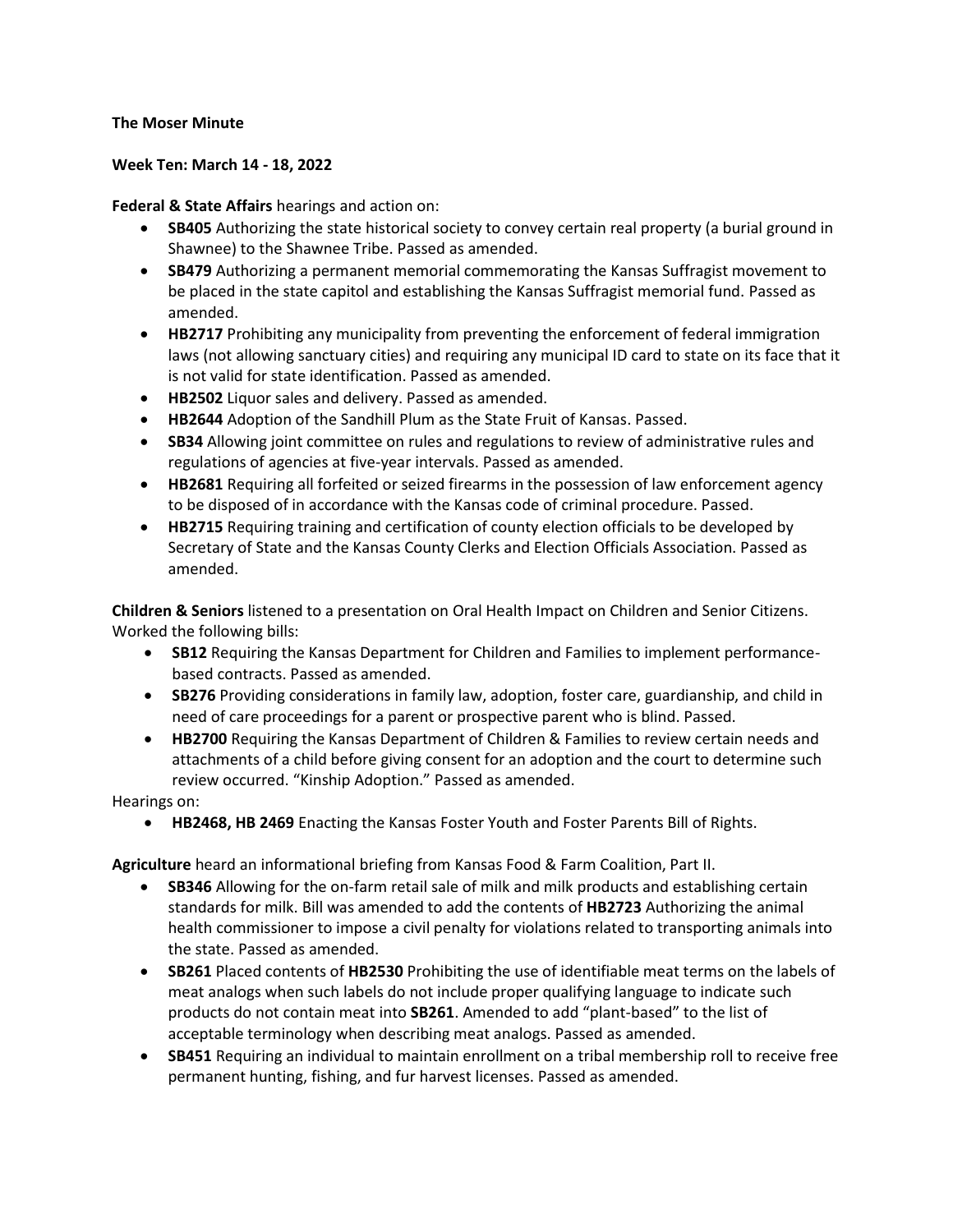## **The Moser Minute**

## **Week Ten: March 14 - 18, 2022**

**Federal & State Affairs** hearings and action on:

- **SB405** Authorizing the state historical society to convey certain real property (a burial ground in Shawnee) to the Shawnee Tribe. Passed as amended.
- **SB479** Authorizing a permanent memorial commemorating the Kansas Suffragist movement to be placed in the state capitol and establishing the Kansas Suffragist memorial fund. Passed as amended.
- **HB2717** Prohibiting any municipality from preventing the enforcement of federal immigration laws (not allowing sanctuary cities) and requiring any municipal ID card to state on its face that it is not valid for state identification. Passed as amended.
- **HB2502** Liquor sales and delivery. Passed as amended.
- **HB2644** Adoption of the Sandhill Plum as the State Fruit of Kansas. Passed.
- **SB34** Allowing joint committee on rules and regulations to review of administrative rules and regulations of agencies at five-year intervals. Passed as amended.
- **HB2681** Requiring all forfeited or seized firearms in the possession of law enforcement agency to be disposed of in accordance with the Kansas code of criminal procedure. Passed.
- **HB2715** Requiring training and certification of county election officials to be developed by Secretary of State and the Kansas County Clerks and Election Officials Association. Passed as amended.

**Children & Seniors** listened to a presentation on Oral Health Impact on Children and Senior Citizens. Worked the following bills:

- **SB12** Requiring the Kansas Department for Children and Families to implement performancebased contracts. Passed as amended.
- **SB276** Providing considerations in family law, adoption, foster care, guardianship, and child in need of care proceedings for a parent or prospective parent who is blind. Passed.
- **HB2700** Requiring the Kansas Department of Children & Families to review certain needs and attachments of a child before giving consent for an adoption and the court to determine such review occurred. "Kinship Adoption." Passed as amended.

Hearings on:

• **HB2468, HB 2469** Enacting the Kansas Foster Youth and Foster Parents Bill of Rights.

**Agriculture** heard an informational briefing from Kansas Food & Farm Coalition, Part II.

- **SB346** Allowing for the on-farm retail sale of milk and milk products and establishing certain standards for milk. Bill was amended to add the contents of **HB2723** Authorizing the animal health commissioner to impose a civil penalty for violations related to transporting animals into the state. Passed as amended.
- **SB261** Placed contents of **HB2530** Prohibiting the use of identifiable meat terms on the labels of meat analogs when such labels do not include proper qualifying language to indicate such products do not contain meat into **SB261**. Amended to add "plant-based" to the list of acceptable terminology when describing meat analogs. Passed as amended.
- **SB451** Requiring an individual to maintain enrollment on a tribal membership roll to receive free permanent hunting, fishing, and fur harvest licenses. Passed as amended.